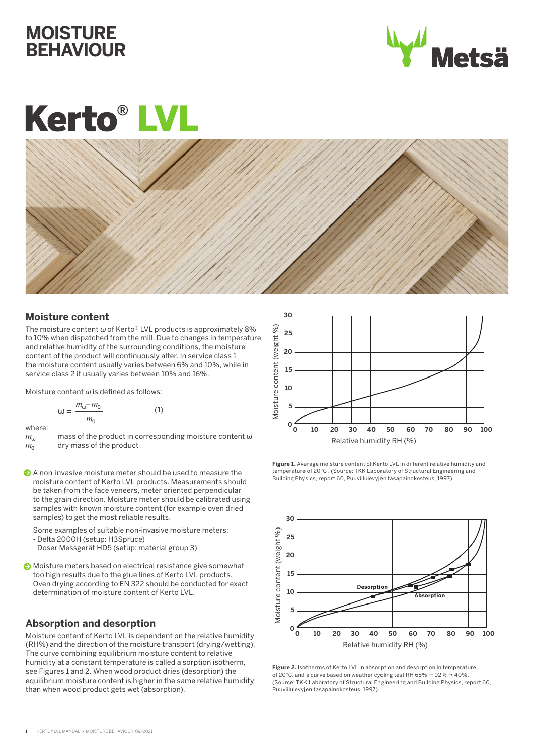# **MOISTURE BEHAVIOUR**



# **Kerto<sup>®</sup>L**



# **Moisture content**

The moisture content *ω* of Kerto® LVL products is approximately 8% to 10% when dispatched from the mill. Due to changes in temperature and relative humidity of the surrounding conditions, the moisture content of the product will continuously alter. In service class 1 the moisture content usually varies between 6% and 10%, while in service class 2 it usually varies between 10% and 16%.

Moisture content *ω* is defined as follows:

$$
\omega = \frac{m_{\omega} - m_0}{m_0} \tag{1}
$$

where:

- *m*<sub>ω</sub> mass of the product in corresponding moisture content ω dry mass of the product dry mass of the product
- A non-invasive moisture meter should be used to measure the moisture content of Kerto LVL products. Measurements should be taken from the face veneers, meter oriented perpendicular to the grain direction. Moisture meter should be calibrated using samples with known moisture content (for example oven dried samples) to get the most reliable results.
	- Some examples of suitable non-invasive moisture meters:
	- Delta 2000H (setup: H3Spruce)
	- Doser Messgerät HD5 (setup: material group 3)
- Moisture meters based on electrical resistance give somewhat too high results due to the glue lines of Kerto LVL products. Oven drying according to EN 322 should be conducted for exact determination of moisture content of Kerto LVL.

# **Absorption and desorption**

Moisture content of Kerto LVL is dependent on the relative humidity (RH%) and the direction of the moisture transport (drying/wetting). The curve combining equilibrium moisture content to relative humidity at a constant temperature is called a sorption isotherm, see Figures 1 and 2. When wood product dries (desorption) the equilibrium moisture content is higher in the same relative humidity than when wood product gets wet (absorption).



**Figure 1.** Average moisture content of Kerto LVL in different relative humidity and temperature of 20°C . (Source: TKK Laboratory of Structural Engineering and<br>Building Physics, report 60, Puuviilulevyjen tasapainokosteus, 1997).



**Figure 2.** Isotherms of Kerto LVL in absorption and desorption in temperature of 20°C, and a curve based on weather cycling test RH 65%  $\rightarrow$  92%  $\rightarrow$  40%. (Source: TKK Laboratory of Structural Engineering and Building Physics, report 60, Puuviilulevyjen tasapainokosteus, 1997)